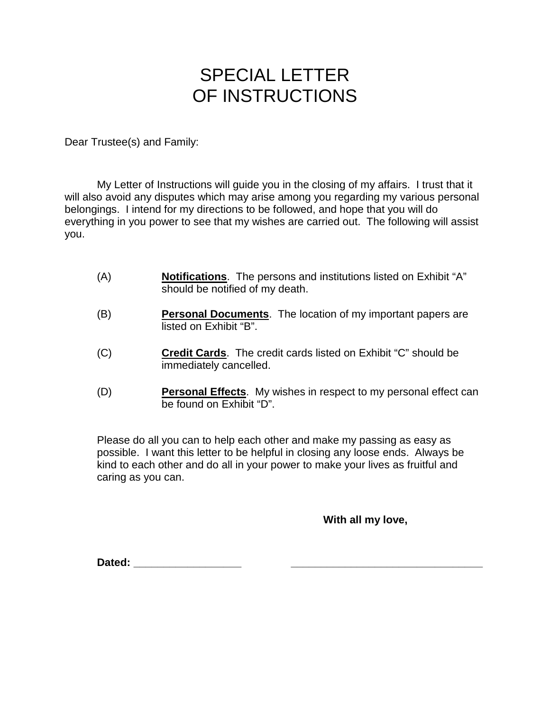### SPECIAL LETTER OF INSTRUCTIONS

Dear Trustee(s) and Family:

My Letter of Instructions will guide you in the closing of my affairs. I trust that it will also avoid any disputes which may arise among you regarding my various personal belongings. I intend for my directions to be followed, and hope that you will do everything in you power to see that my wishes are carried out. The following will assist you.

- (A) **Notifications**. The persons and institutions listed on Exhibit "A" should be notified of my death.
- (B) **Personal Documents**. The location of my important papers are listed on Exhibit "B".
- (C) **Credit Cards**. The credit cards listed on Exhibit "C" should be immediately cancelled.
- (D) **Personal Effects**. My wishes in respect to my personal effect can be found on Exhibit "D".

Please do all you can to help each other and make my passing as easy as possible. I want this letter to be helpful in closing any loose ends. Always be kind to each other and do all in your power to make your lives as fruitful and caring as you can.

**With all my love,**

**Dated: \_\_\_\_\_\_\_\_\_\_\_\_\_\_\_\_\_\_ \_\_\_\_\_\_\_\_\_\_\_\_\_\_\_\_\_\_\_\_\_\_\_\_\_\_\_\_\_\_\_\_**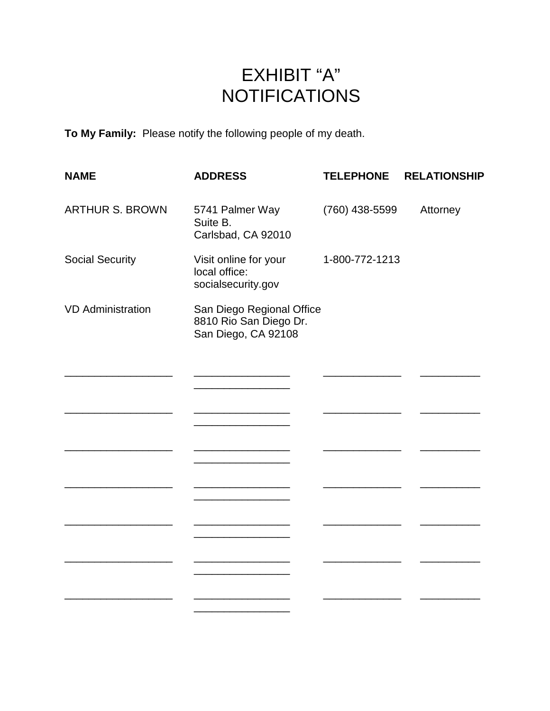### EXHIBIT "A" **NOTIFICATIONS**

**To My Family:** Please notify the following people of my death.

| <b>NAME</b>              | <b>ADDRESS</b>                                                             | <b>TELEPHONE</b> | <b>RELATIONSHIP</b> |
|--------------------------|----------------------------------------------------------------------------|------------------|---------------------|
| <b>ARTHUR S. BROWN</b>   | 5741 Palmer Way<br>Suite B.<br>Carlsbad, CA 92010                          | $(760)$ 438-5599 | Attorney            |
| <b>Social Security</b>   | Visit online for your<br>local office:<br>socialsecurity.gov               | 1-800-772-1213   |                     |
| <b>VD Administration</b> | San Diego Regional Office<br>8810 Rio San Diego Dr.<br>San Diego, CA 92108 |                  |                     |
|                          |                                                                            |                  |                     |
|                          |                                                                            |                  |                     |
|                          |                                                                            |                  |                     |
|                          |                                                                            |                  |                     |
|                          |                                                                            |                  |                     |
|                          |                                                                            |                  |                     |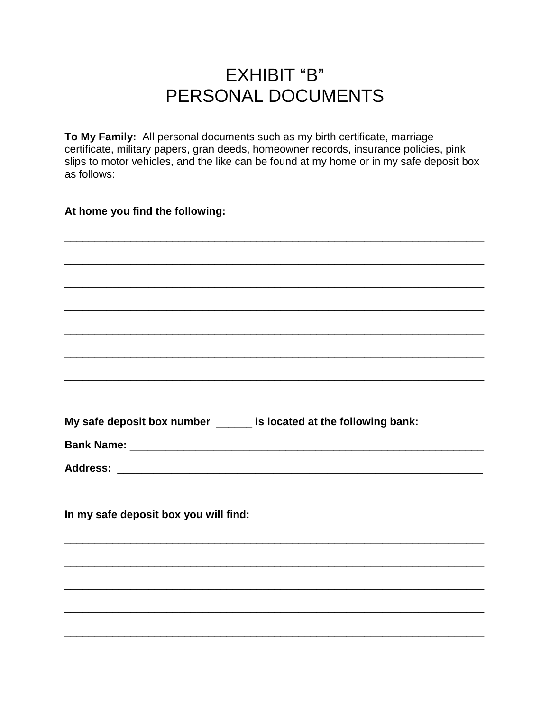#### **EXHIBIT "B"** PERSONAL DOCUMENTS

To My Family: All personal documents such as my birth certificate, marriage certificate, military papers, gran deeds, homeowner records, insurance policies, pink slips to motor vehicles, and the like can be found at my home or in my safe deposit box as follows:

At home you find the following:

| My safe deposit box number ______ is located at the following bank: |  |
|---------------------------------------------------------------------|--|
|                                                                     |  |
|                                                                     |  |
|                                                                     |  |
|                                                                     |  |
|                                                                     |  |
|                                                                     |  |
| In my safe deposit box you will find:                               |  |
|                                                                     |  |
|                                                                     |  |
|                                                                     |  |
|                                                                     |  |
|                                                                     |  |
|                                                                     |  |
|                                                                     |  |
|                                                                     |  |
|                                                                     |  |
|                                                                     |  |
|                                                                     |  |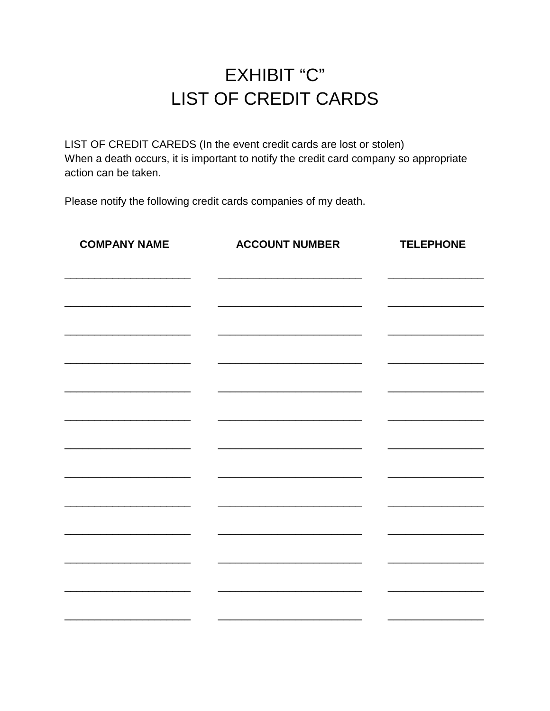## **EXHIBIT "C" LIST OF CREDIT CARDS**

LIST OF CREDIT CAREDS (In the event credit cards are lost or stolen) When a death occurs, it is important to notify the credit card company so appropriate action can be taken.

Please notify the following credit cards companies of my death.

| <b>COMPANY NAME</b> | <b>ACCOUNT NUMBER</b>                             | <b>TELEPHONE</b> |
|---------------------|---------------------------------------------------|------------------|
|                     |                                                   |                  |
|                     |                                                   |                  |
|                     | <u> 1980 - Johann Barbara, martxa alemaniar a</u> |                  |
|                     |                                                   |                  |
|                     |                                                   |                  |
|                     |                                                   |                  |
|                     |                                                   |                  |
|                     |                                                   |                  |
|                     |                                                   |                  |
|                     |                                                   |                  |
|                     |                                                   |                  |
|                     |                                                   |                  |
|                     |                                                   |                  |
|                     |                                                   |                  |
|                     |                                                   |                  |
|                     |                                                   |                  |
|                     |                                                   |                  |
|                     |                                                   |                  |